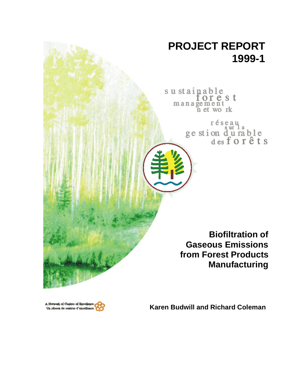# **PROJECT REPORT 1999-1**

sustainable<br>forest<br>management<br>net work

réseau ge stion du rable<br>desforêts

**Biofiltration of Gaseous Emissions from Forest Products Manufacturing**

A Notwork of Centres of Bxcellen Un réseau de centres d'excellence

**Karen Budwill and Richard Coleman**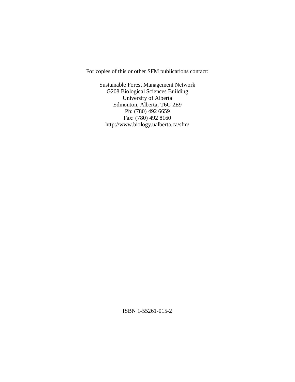For copies of this or other SFM publications contact:

Sustainable Forest Management Network G208 Biological Sciences Building University of Alberta Edmonton, Alberta, T6G 2E9 Ph: (780) 492 6659 Fax: (780) 492 8160 http://www.biology.ualberta.ca/sfm/

ISBN 1-55261-015-2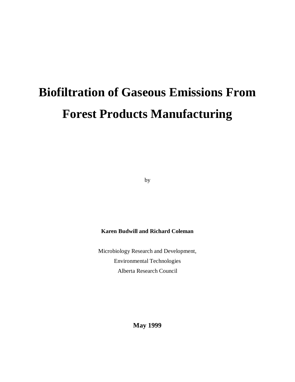# **Biofiltration of Gaseous Emissions From Forest Products Manufacturing**

by

# **Karen Budwill and Richard Coleman**

Microbiology Research and Development, Environmental Technologies Alberta Research Council

**May 1999**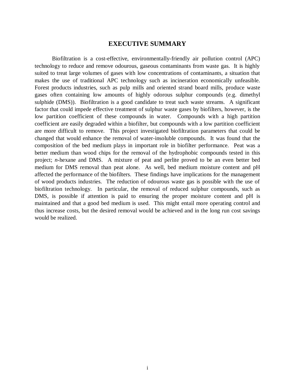# **EXECUTIVE SUMMARY**

Biofiltration is a cost-effective, environmentally-friendly air pollution control (APC) technology to reduce and remove odourous, gaseous contaminants from waste gas. It is highly suited to treat large volumes of gases with low concentrations of contaminants, a situation that makes the use of traditional APC technology such as incineration economically unfeasible. Forest products industries, such as pulp mills and oriented strand board mills, produce waste gases often containing low amounts of highly odorous sulphur compounds (e.g. dimethyl sulphide (DMS)). Biofiltration is a good candidate to treat such waste streams. A significant factor that could impede effective treatment of sulphur waste gases by biofilters, however, is the low partition coefficient of these compounds in water. Compounds with a high partition coefficient are easily degraded within a biofilter, but compounds with a low partition coefficient are more difficult to remove. This project investigated biofiltration parameters that could be changed that would enhance the removal of water-insoluble compounds. It was found that the composition of the bed medium plays in important role in biofilter performance. Peat was a better medium than wood chips for the removal of the hydrophobic compounds tested in this project; *n*-hexane and DMS. A mixture of peat and perlite proved to be an even better bed medium for DMS removal than peat alone. As well, bed medium moisture content and pH affected the performance of the biofilters. These findings have implications for the management of wood products industries. The reduction of odourous waste gas is possible with the use of biofiltration technology. In particular, the removal of reduced sulphur compounds, such as DMS, is possible if attention is paid to ensuring the proper moisture content and pH is maintained and that a good bed medium is used. This might entail more operating control and thus increase costs, but the desired removal would be achieved and in the long run cost savings would be realized.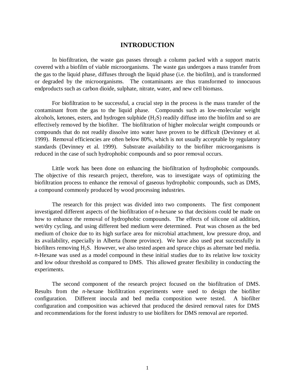# **INTRODUCTION**

In biofiltration, the waste gas passes through a column packed with a support matrix covered with a biofilm of viable microorganisms. The waste gas undergoes a mass transfer from the gas to the liquid phase, diffuses through the liquid phase (i.e. the biofilm), and is transformed or degraded by the microorganisms. The contaminants are thus transformed to innocuous endproducts such as carbon dioide, sulphate, nitrate, water, and new cell biomass.

For biofiltration to be successful, a crucial step in the process is the mass transfer of the contaminant from the gas to the liquid phase. Compounds such as low-molecular weight alcohols, ketones, esters, and hydrogen sulphide  $(H_2S)$  readily diffuse into the biofilm and so are effectively removed by the biofilter. The biofiltration of higher molecular weight compounds or compounds that do not readily dissolve into water have proven to be difficult (Devinney et al. 1999). Removal efficiencies are often below 80%, which is not usually acceptable by regulatory standards (Devinney et al. 1999). Substrate availability to the biofilter microorganisms is reduced in the case of such hydrophobic compounds and so poor removal occurs.

Little work has been done on enhancing the biofiltration of hydrophobic compounds. The objective of this research project, therefore, was to investigate ways of optimizing the biofiltration process to enhance the removal of gaseous hydrophobic compounds, such as DMS, a compound commonly produced by wood processing industries.

The research for this project was divided into two components. The first component investigated different aspects of the biofiltration of *n*-hexane so that decisions could be made on how to enhance the removal of hydrophobic compounds. The effects of silicone oil addition, wet/dry cycling, and using different bed medium were determined. Peat was chosen as the bed medium of choice due to its high surface area for microbial attachment, low pressure drop, and its availability, especially in Alberta (home province). We have also used peat successfully in biofilters removing H<sub>2</sub>S. However, we also tested aspen and spruce chips as alternate bed media. *n*-Hexane was used as a model compound in these initial studies due to its relative low toxicity and low odour threshold as compared to DMS. This allowed greater flexibility in conducting the experiments.

The second component of the research project focused on the biofiltration of DMS. Results from the *n*-hexane biofiltration experiments were used to design the biofilter configuration. Different inocula and bed media composition were tested. A biofilter configuration and composition was achieved that produced the desired removal rates for DMS and recommendations for the forest industry to use biofilters for DMS removal are reported.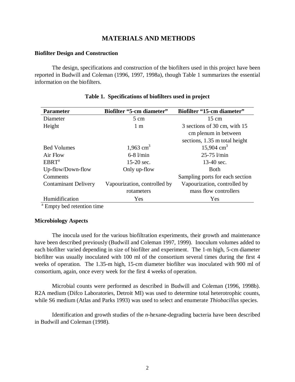# **MATERIALS AND METHODS**

#### **Biofilter Design and Construction**

The design, specifications and construction of the biofilters used in this project have been reported in Budwill and Coleman (1996, 1997, 1998a), though Table 1 summarizes the essential information on the biofilters.

| <b>Parameter</b>            | <b>Biofilter "5-cm diameter"</b> | <b>Biofilter "15-cm diameter"</b> |
|-----------------------------|----------------------------------|-----------------------------------|
| Diameter                    | $5 \text{ cm}$                   | $15 \text{ cm}$                   |
| Height                      | 1 <sub>m</sub>                   | 3 sections of 30 cm, with 15      |
|                             |                                  | cm plenum in between              |
|                             |                                  | sections, 1.35 m total height     |
| <b>Bed Volumes</b>          | 1,963 $cm3$                      | 15,904 $\text{cm}^3$              |
| Air Flow                    | $6-8$ $l/min$                    | $25 - 75$ $l/min$                 |
| EBRT <sup>a</sup>           | $15-20$ sec.                     | 13-40 sec.                        |
| Up-flow/Down-flow           | Only up-flow                     | <b>Both</b>                       |
| Comments                    |                                  | Sampling ports for each section   |
| <b>Contaminant Delivery</b> | Vapourization, controlled by     | Vapourization, controlled by      |
|                             | rotameters                       | mass flow controllers             |
| Humidification              | Yes                              | Yes                               |

#### **Table 1. Specifications of biofilters used in project**

<sup>a</sup> Empty bed retention time

# **Microbiology Aspects**

The inocula used for the various biofiltration experiments, their growth and maintenance have been described previously (Budwill and Coleman 1997, 1999). Inoculum volumes added to each biofilter varied depending in size of biofilter and experiment. The 1-m high, 5-cm diameter biofilter was usually inoculated with 100 ml of the consortium several times during the first 4 weeks of operation. The 1.35-m high, 15-cm diameter biofilter was inoculated with 900 ml of consortium, again, once every week for the first 4 weeks of operation.

Microbial counts were performed as described in Budwill and Coleman (1996, 1998b). R2A medium (Difco Laboratories, Detroit MI) was used to determine total heterotrophic counts, while S6 medium (Atlas and Parks 1993) was used to select and enumerate *Thiobacillus* species.

Identification and growth studies of the *n*-hexane-degrading bacteria have been described in Budwill and Coleman (1998).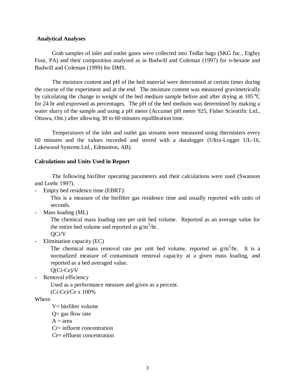#### **Analytical Analyses**

Grab samples of inlet and outlet gases were collected into Tedlar bags (SKG Inc., Eighty Four, PA) and their composition analysed as in Budwill and Coleman (1997) for *n*-hexane and Budwill and Coleman (1999) for DMS.

The moisture content and pH of the bed material were determined at certain times during the course of the experiment and at the end. The moisture content was measured gravimetrically by calculating the change in weight of the bed medium sample before and after drying at 105°C for 24 hr and expressed as percentages. The pH of the bed medium was determined by making a water slurry of the sample and using a pH meter (Accumet pH meter 925, Fisher Scientific Ltd., Ottawa, Ont.) after allowing 30 to 60 minutes equilibration time.

Temperatures of the inlet and outlet gas streams were measured using thermisters every 60 minutes and the values recorded and stored with a datalogger (Ultra-Logger UL-16, Lakewood Systems Ltd., Edmonton, AB).

#### **Calculations and Units Used in Report**

The following biofilter operating parameters and their calculations were used (Swanson and Loehr 1997).

Empty bed residence time (EBRT):

This is a measure of the biofilter gas residence time and usually reported with units of seconds.

Mass loading (ML)

The chemical mass loading rate per unit bed volume. Reported as an average value for the entire bed volume and reported as  $g/m^3/hr$ .

QC*i*/V

Elimination capacity (EC)

The chemical mass removal rate per unit bed volume, reported as  $g/m<sup>3</sup>/hr$ . It is a normalized measure of contaminant removal capacity at a given mass loading, and reported as a bed averaged value.

Q(C*i*-C*e*)/V

Removal efficiency

Used as a performance measure and given as a percent.

(C*i*-C*e*)/C*e* x 100%

Where:

```
V= biofilter volume
```
 $Q =$  gas flow rate

 $A = area$ 

C*i*= influent concentration

*Ce*= effluent concentration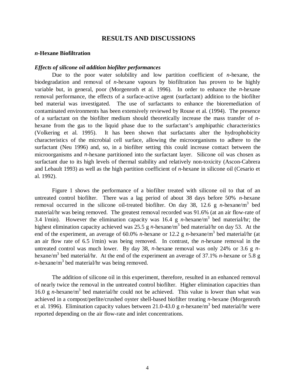# **RESULTS AND DISCUSSIONS**

#### *n***-Hexane Biofiltration**

#### *Effects of silicone oil addition biofilter performances*

Due to the poor water solubility and low partition coefficient of *n*-hexane, the biodegradation and removal of *n*-hexane vapours by biofiltration has proven to be highly variable but, in general, poor (Morgenroth et al. 1996). In order to enhance the *n*-hexane removal performance, the effects of a surface-active agent (surfactant) addition to the biofilter bed material was investigated. The use of surfactants to enhance the bioremediation of contaminated environments has been extensively reviewed by Rouse et al. (1994). The presence of a surfactant on the biofilter medium should theoretically increase the mass transfer of *n*hexane from the gas to the liquid phase due to the surfactant's amphipathic characteristics (Volkering et al. 1995). It has been shown that surfactants alter the hydrophobicity characteristics of the microbial cell surface, allowing the microorganisms to adhere to the surfactant (Neu 1996) and, so, in a biofilter setting this could increase contact between the microorganisms and *n*-hexane partitioned into the surfactant layer. Silicone oil was chosen as surfactant due to its high levels of thermal stability and relatively non-toxicity (Ascon-Cabrera and Lebault 1993) as well as the high partition coefficient of *n*-hexane in silicone oil (Cesario et al. 1992).

Figure 1 shows the performance of a biofilter treated with silicone oil to that of an untreated control biofilter. There was a lag period of about 38 days before 50% *n*-hexane removal occurred in the silicone oil-treated biofilter. On day 38, 12.6 g *n*-hexane/m<sup>3</sup> bed material/hr was being removed. The greatest removal recorded was 91.6% (at an air flow-rate of 3.4  $l/min$ ). However the elimination capacity was 16.4 g *n*-hexane/m<sup>3</sup> bed material/hr; the highest elimination capacity achieved was 25.5 g *n*-hexane/m<sup>3</sup> bed material/hr on day 53. At the end of the experiment, an average of 60.0% *n*-hexane or 12.2 g *n*-hexane/m3 bed material/hr (at an air flow rate of 6.5 l/min) was being removed. In contrast, the *n*-hexane removal in the untreated control was much lower. By day 38, *n*-hexane removal was only 24% or 3.6 g *n*hexane/m3 bed material/hr. At the end of the experiment an average of 37.1% *n*-hexane or 5.8 g *n*-hexane/m<sup>3</sup> bed material/hr was being removed.

The addition of silicone oil in this experiment, therefore, resulted in an enhanced removal of nearly twice the removal in the untreated control biofilter. Higher elimination capacities than 16.0 g  $n$ -hexane/m<sup>3</sup> bed material/hr could not be achieved. This value is lower than what was achieved in a compost/perlite/crushed oyster shell-based biofilter treating *n*-hexane (Morgenroth et al. 1996). Elimination capacity values between 21.0-43.0 g *n*-hexane/m<sup>3</sup> bed material/hr were reported depending on the air flow-rate and inlet concentrations.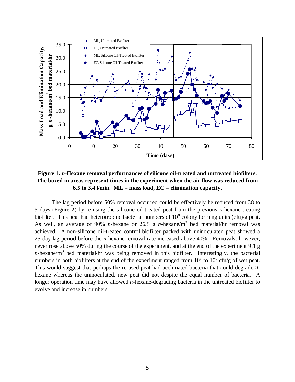

# **Figure 1.** *n***-Hexane removal performances of silicone oil-treated and untreated biofilters. The boxed in areas represent times in the experiment when the air flow was reduced from 6.5 to 3.4 l/min. ML = mass load, EC = elimination capacity.**

The lag period before 50% removal occurred could be effectively be reduced from 38 to 5 days (Figure 2) by re-using the silicone oil-treated peat from the previous *n*-hexane-treating biofilter. This peat had heterotrophic bacterial numbers of  $10^8$  colony forming units (cfu)/g peat. As well, an average of 90% *n*-hexane or 26.8 g *n*-hexane/m<sup>3</sup> bed material/hr removal was achieved. A non-silicone oil-treated control biofilter packed with uninoculated peat showed a 25-day lag period before the *n*-hexane removal rate increased above 40%. Removals, however, never rose above 50% during the course of the experiment, and at the end of the experiment 9.1 g *n*-hexane/m<sup>3</sup> bed material/hr was being removed in this biofilter. Interestingly, the bacterial numbers in both biofilters at the end of the experiment ranged from  $10^7$  to  $10^8$  cfu/g of wet peat. This would suggest that perhaps the re-used peat had acclimated bacteria that could degrade *n*hexane whereas the uninoculated, new peat did not despite the equal number of bacteria. A longer operation time may have allowed *n*-hexane-degrading bacteria in the untreated biofilter to evolve and increase in numbers.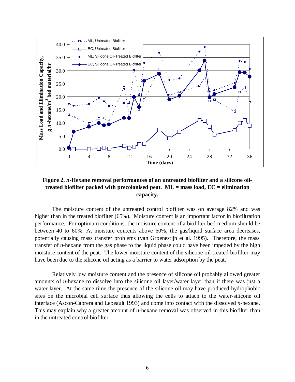

# **Figure 2.** *n***-Hexane removal performances of an untreated biofilter and a silicone oiltreated biofilter packed with precolonised peat. ML = mass load, EC = elimination capacity.**

The moisture content of the untreated control biofilter was on average 82% and was higher than in the treated biofilter (65%). Moisture content is an important factor in biofiltration performance. For optimum conditions, the moisture content of a biofilter bed medium should be between 40 to 60%. At moisture contents above 60%, the gas/liquid surface area decreases, potentially causing mass transfer problems (van Groenestijn et al. 1995). Therefore, the mass transfer of *n*-hexane from the gas phase to the liquid phase could have been impeded by the high moisture content of the peat. The lower moisture content of the silicone oil-treated biofilter may have been due to the silicone oil acting as a barrier to water adsorption by the peat.

Relatively low moisture content and the presence of silicone oil probably allowed greater amounts of *n*-hexane to dissolve into the silicone oil layer/water layer than if there was just a water layer. At the same time the presence of the silicone oil may have produced hydrophobic sites on the microbial cell surface thus allowing the cells to attach to the water-silicone oil interface (Ascon-Cabrera and Lebeault 1993) and come into contact with the dissolved *n*-hexane. This may explain why a greater amount of *n*-hexane removal was observed in this biofilter than in the untreated control biofilter.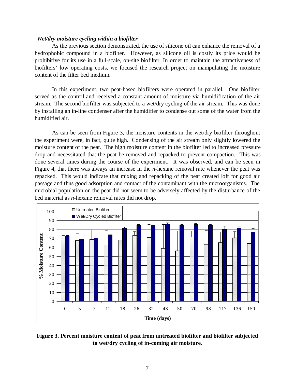#### *Wet/dry moisture cycling within a biofilter*

As the previous section demonstrated, the use of silicone oil can enhance the removal of a hydrophobic compound in a biofilter. However, as silicone oil is costly its price would be prohibitive for its use in a full-scale, on-site biofilter. In order to maintain the attractiveness of biofilters' low operating costs, we focused the research project on manipulating the moisture content of the filter bed medium.

In this experiment, two peat-based biofilters were operated in parallel. One biofilter served as the control and received a constant amount of moisture via humidification of the air stream. The second biofilter was subjected to a wet/dry cycling of the air stream. This was done by installing an in-line condenser after the humidifier to condense out some of the water from the humidified air.

As can be seen from Figure 3, the moisture contents in the wet/dry biofilter throughout the experiment were, in fact, quite high. Condensing of the air stream only slightly lowered the moisture content of the peat. The high moisture content in the biofilter led to increased pressure drop and necessitated that the peat be removed and repacked to prevent compaction. This was done several times during the course of the experiment. It was observed, and can be seen in Figure 4, that there was always an increase in the *n*-hexane removal rate whenever the peat was repacked. This would indicate that mixing and repacking of the peat created loft for good air passage and thus good adsorption and contact of the contaminant with the microorganisms. The microbial population on the peat did not seem to be adversely affected by the disturbance of the bed material as *n*-hexane removal rates did not drop.



**Figure 3. Percent moisture content of peat from untreated biofilter and biofilter subjected to wet/dry cycling of in-coming air moisture.**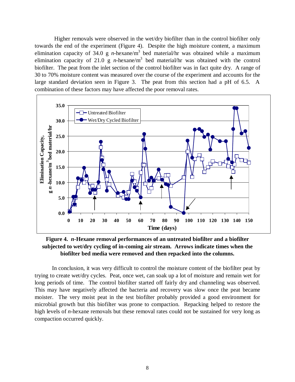Higher removals were observed in the wet/dry biofilter than in the control biofilter only towards the end of the experiment (Figure 4). Despite the high moisture content, a maximum elimination capacity of 34.0 g *n*-hexane/m<sup>3</sup> bed material/hr was obtained while a maximum elimination capacity of 21.0 g *n*-hexane/m3 bed material/hr was obtained with the control biofilter. The peat from the inlet section of the control biofilter was in fact quite dry. A range of 30 to 70% moisture content was measured over the course of the experiment and accounts for the large standard deviation seen in Figure 3. The peat from this section had a pH of 6.5. A combination of these factors may have affected the poor removal rates.



**Figure 4.** *n***-Hexane removal performances of an untreated biofilter and a biofilter subjected to wet/dry cycling of in-coming air stream. Arrows indicate times when the biofilter bed media were removed and then repacked into the columns.**

In conclusion, it was very difficult to control the moisture content of the biofilter peat by trying to create wet/dry cycles. Peat, once wet, can soak up a lot of moisture and remain wet for long periods of time. The control biofilter started off fairly dry and channeling was observed. This may have negatively affected the bacteria and recovery was slow once the peat became moister. The very moist peat in the test biofilter probably provided a good environment for microbial growth but this biofilter was prone to compaction. Repacking helped to restore the high levels of *n*-hexane removals but these removal rates could not be sustained for very long as compaction occurred quickly.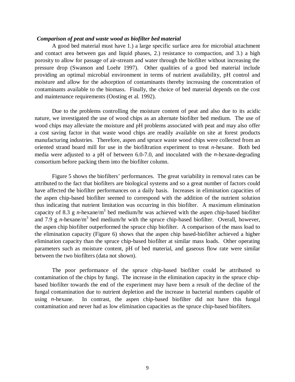#### *Comparison of peat and waste wood as biofilter bed material*

A good bed material must have 1.) a large specific surface area for microbial attachment and contact area between gas and liquid phases, 2.) resistance to compaction, and 3.) a high porosity to allow for passage of air-stream and water through the biofilter without increasing the pressure drop (Swanson and Loehr 1997). Other qualities of a good bed material include providing an optimal microbial environment in terms of nutrient availability, pH control and moisture and allow for the adsorption of contaminants thereby increasing the concentration of contaminants available to the biomass. Finally, the choice of bed material depends on the cost and maintenance requirements (Oosting et al. 1992).

Due to the problems controlling the moisture content of peat and also due to its acidic nature, we investigated the use of wood chips as an alternate biofilter bed medium. The use of wood chips may alleviate the moisture and pH problems associated with peat and may also offer a cost saving factor in that waste wood chips are readily available on site at forest products manufacturing industries. Therefore, aspen and spruce waste wood chips were collected from an oriented strand board mill for use in the biofiltration experiment to treat *n*-hexane. Both bed media were adjusted to a pH of between 6.0-7.0, and inoculated with the *n*-hexane-degrading consortium before packing them into the biofilter column.

Figure 5 shows the biofilters' performances. The great variability in removal rates can be attributed to the fact that biofilters are biological systems and so a great number of factors could have affected the biofilter performances on a daily basis. Increases in elimination capacities of the aspen chip-based biofilter seemed to correspond with the addition of the nutrient solution thus indicating that nutrient limitation was occurring in this biofilter. A maximum elimination capacity of 8.3 g *n*-hexane/m<sup>3</sup> bed medium/hr was achieved with the aspen chip-based biofilter and 7.9 g *n*-hexane/m<sup>3</sup> bed medium/hr with the spruce chip-based biofilter. Overall, however, the aspen chip biofilter outperformed the spruce chip biofilter. A comparison of the mass load to the elimination capacity (Figure 6) shows that the aspen chip based-biofilter achieved a higher elimination capacity than the spruce chip-based biofilter at similar mass loads. Other operating parameters such as moisture content, pH of bed material, and gaseous flow rate were similar between the two biofilters (data not shown).

The poor performance of the spruce chip-based biofilter could be attributed to contamination of the chips by fungi. The increase in the elimination capacity in the spruce chipbased biofilter towards the end of the experiment may have been a result of the decline of the fungal contamination due to nutrient depletion and the increase in bacterial numbers capable of using *n*-hexane. In contrast, the aspen chip-based biofilter did not have this fungal contamination and never had as low elimination capacities as the spruce chip-based biofilters.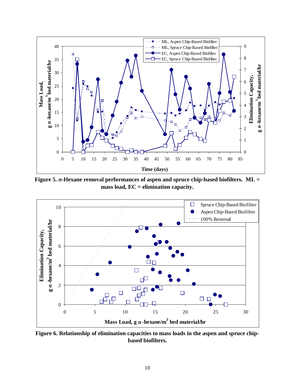

**Figure 5.** *n***-Hexane removal performances of aspen and spruce chip-based biofilters. ML = mass load, EC = elimination capacity.**



**Figure 6. Relationship of elimination capacities to mass loads in the aspen and spruce chipbased biofilters.**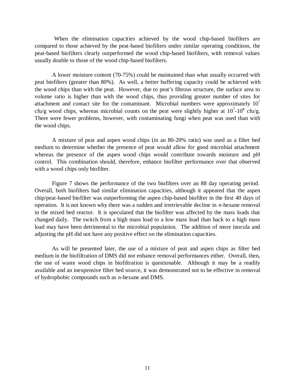When the elimination capacities achieved by the wood chip-based biofilters are compared to those achieved by the peat-based biofilters under similar operating conditions, the peat-based biofilters clearly outperformed the wood chip-based biofilters, with removal values usually double to those of the wood chip-based biofilters.

A lower moisture content (70-75%) could be maintained than what usually occurred with peat biofilters (greater than 80%). As well, a better buffering capacity could be achieved with the wood chips than with the peat. However, due to peat's fibrous structure, the surface area to volume ratio is higher than with the wood chips, thus providing greater number of sites for attachment and contact site for the contaminant. Microbial numbers were approximately  $10<sup>7</sup>$ cfu/g wood chips, whereas microbial counts on the peat were slightly higher at  $10^7$ - $10^8$  cfu/g. There were fewer problems, however, with contaminating fungi when peat was used than with the wood chips.

A mixture of peat and aspen wood chips (in an 80-20% ratio) was used as a filter bed medium to determine whether the presence of peat would allow for good microbial attachment whereas the presence of the aspen wood chips would contribute towards moisture and pH control. This combination should, therefore, enhance biofilter performance over that observed with a wood chips only biofilter.

Figure 7 shows the performance of the two biofilters over an 88 day operating period. Overall, both biofilters had similar elimination capacities, although it appeared that the aspen chip/peat-based biofilter was outperforming the aspen chip-based biofilter in the first 40 days of operation. It is not known why there was a sudden and irretrievable decline in *n*-hexane removal in the mixed bed reactor. It is speculated that the biofilter was affected by the mass loads that changed daily. The switch from a high mass load to a low mass load than back to a high mass load may have been detrimental to the microbial population. The addition of more inocula and adjusting the pH did not have any positive effect on the elimination capacities.

As will be presented later, the use of a mixture of peat and aspen chips as filter bed medium in the biofiltration of DMS did not enhance removal performances either. Overall, then, the use of waste wood chips in biofiltration is questionable. Although it may be a readily available and an inexpensive filter bed source, it was demonstrated not to be effective in removal of hydrophobic compounds such as *n*-hexane and DMS.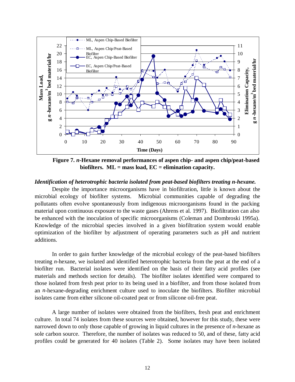

**Figure 7.** *n***-Hexane removal performances of aspen chip- and aspen chip/peat-based biofilters. ML = mass load, EC = elimination capacity.**

#### *Identification of heterotrophic bacteria isolated from peat-based biofilters treating n-hexane.*

Despite the importance microorganisms have in biofiltration, little is known about the microbial ecology of biofilter systems. Microbial communities capable of degrading the pollutants often evolve spontaneously from indigenous microorganisms found in the packing material upon continuous exposure to the waste gases (Ahrens et al. 1997). Biofiltration can also be enhanced with the inoculation of specific microorganisms (Coleman and Dombroski 1995a). Knowledge of the microbial species involved in a given biofiltration system would enable optimization of the biofilter by adjustment of operating parameters such as pH and nutrient additions.

In order to gain further knowledge of the microbial ecology of the peat-based biofilters treating *n*-hexane, we isolated and identified heterotrophic bacteria from the peat at the end of a biofilter run. Bacterial isolates were identified on the basis of their fatty acid profiles (see materials and methods section for details). The biofilter isolates identified were compared to those isolated from fresh peat prior to its being used in a biofilter, and from those isolated from an *n*-hexane-degrading enrichment culture used to inoculate the biofilters. Biofilter microbial isolates came from either silicone oil-coated peat or from silicone oil-free peat.

A large number of isolates were obtained from the biofilters, fresh peat and enrichment culture. In total 74 isolates from these sources were obtained, however for this study, these were narrowed down to only those capable of growing in liquid cultures in the presence of *n*-hexane as sole carbon source. Therefore, the number of isolates was reduced to 50, and of these, fatty acid profiles could be generated for 40 isolates (Table 2). Some isolates may have been isolated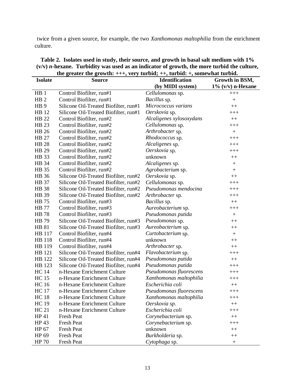twice from a given source, for example, the two *Xanthomonas maltophilia* from the enrichment culture.

| <b>Isolate</b>  | <b>Source</b>                         | <b>Identification</b>    | Growth in BSM,       |
|-----------------|---------------------------------------|--------------------------|----------------------|
|                 |                                       | (by MIDI system)         | $1\%$ (v/v) n-Hexane |
| HB <sub>1</sub> | Control Biofilter, run#1              | Cellulomonas sp.         | $+++$                |
| HB <sub>2</sub> | Control Biofilter, run#1              | Bacillus sp.             | $^{+}$               |
| HB <sub>9</sub> | Silicone Oil-Treated Biofilter, run#1 | Micrococcus varians      | $^{++}$              |
| HB 12           | Silicone Oil-Treated Biofilter, run#1 | Oerskovia sp.            | $^{+++}$             |
| HB 22           | Control Biofilter, run#2              | Alcaligenes xylosoxydans | $++$                 |
| HB 23           | Control Biofilter, run#2              | Cellulomonas sp.         | $+++$                |
| <b>HB</b> 26    | Control Biofilter, run#2              | Arthrobacter sp.         | $+$                  |
| <b>HB 27</b>    | Control Biofilter, run#2              | Rhodococcus sp.          | $+++$                |
| <b>HB 28</b>    | Control Biofilter, run#2              | Alcaligenes sp.          | $+++$                |
| HB 29           | Control Biofilter, run#2              | Oerskovia sp.            | $+++$                |
| HB 33           | Control Biofilter, run#2              | unknown                  | $++$                 |
| HB 34           | Control Biofilter, run#2              | Alcaligenes sp.          | $^{+}$               |
| HB 35           | Control Biofilter, run#2              | Agrobacterium sp.        | $^{+}$               |
| HB 36           | Silicone Oil-Treated Biofilter, run#2 | Oerskovia sp.            | $^{++}$              |
| <b>HB</b> 37    | Silicone Oil-Treated Biofilter, run#2 | Cellulomonas sp.         | $+++$                |
| <b>HB</b> 38    | Silicone Oil-Treated Biofilter, run#2 | Pseudomonas mendocina    | $+++$                |
| HB 39           | Silicone Oil-Treated Biofilter, run#2 | Arthrobacter sp.         | $+++$                |
| <b>HB</b> 75    | Control Biofilter, run#3              | <i>Bacillus</i> sp.      | $++$                 |
| <b>HB</b> 77    | Control Biofilter, run#3              | Aureobacterium sp.       | $+++$                |
| <b>HB</b> 78    | Control Biofilter, run#3              | Pseudomonas putida       | $^{+}$               |
| <b>HB</b> 79    | Silicone Oil-Treated Biofilter, run#3 | Pseudomonas sp.          | $++$                 |
| <b>HB 81</b>    | Silicone Oil-Treated Biofilter, run#3 | Aureobacterium sp.       | $^{++}$              |
| HB 117          | Control Biofilter, run#4              | Curtobacterium sp.       |                      |
| <b>HB</b> 118   | Control Biofilter, run#4              | unknown                  | $^{++}$              |
| HB 119          | Control Biofilter, run#4              | Arthrobacter sp.         | $++$                 |
| HB 121          | Silicone Oil-Treated Biofilter, run#4 | Flavobacterium sp.       | $+++$                |
| HB 122          | Silicone Oil-Treated Biofilter, run#4 | Pseudomonas putida       | $++$                 |
| HB 123          | Silicone Oil-Treated Biofilter, run#4 | Pseudomonas putida       | $+++$                |
| <b>HC</b> 14    | n-Hexane Enrichment Culture           | Pseudomonas fluorescens  | $+++$                |
| <b>HC15</b>     | n-Hexane Enrichment Culture           | Xanthomonas maltophilia  | $+++$                |
| <b>HC</b> 16    | n-Hexane Enrichment Culture           | Escherichia coli         | $++$                 |
| <b>HC</b> 17    | n-Hexane Enrichment Culture           | Pseudomonas fluorescens  | $^{+++}$             |
| <b>HC</b> 18    | n-Hexane Enrichment Culture           | Xanthomonas maltophilia  | $^{+++}$             |
| <b>HC</b> 19    | n-Hexane Enrichment Culture           | Oerskovia sp.            | $++$                 |
| HC 21           | n-Hexane Enrichment Culture           | Escherichia coli         | $+++$                |
| HP 41           | Fresh Peat                            | Corynebacterium sp.      | $++$                 |
| HP 43           | Fresh Peat                            | Corynebacterium sp.      | $+++$                |
| HP 67           | Fresh Peat                            | unknown                  | $++$                 |
| HP 69           | Fresh Peat                            | Burkholderia sp.         | $++$                 |
| HP 70           | <b>Fresh Peat</b>                     | Cytophaga sp.            | $\! + \!$            |

# **Table 2. Isolates used in study, their source, and growth in basal salt medium with 1% (v/v)** *n***-hexane. Turbidity was used as an indicator of growth, the more turbid the culture, the greater the growth: +++, very turbid; ++, turbid: +, somewhat turbid.**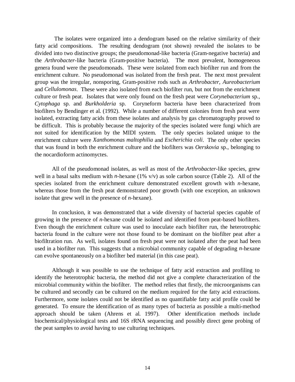The isolates were organized into a dendogram based on the relative similarity of their fatty acid compositions. The resulting dendogram (not shown) revealed the isolates to be divided into two distinctive groups; the pseudomonad-like bacteria (Gram-negative bacteria) and the *Arthrobacter*-like bacteria (Gram-positive bacteria). The most prevalent, homogeneous genera found were the pseudomonads. These were isolated from each biofilter run and from the enrichment culture. No pseudomonad was isolated from the fresh peat. The next most prevalent group was the irregular, nonsporing, Gram-positive rods such as *Arthrobacter*, *Aureobacterium* and *Cellulomonas*. These were also isolated from each biofilter run, but not from the enrichment culture or fresh peat. Isolates that were only found on the fresh peat were *Corynebacterium* sp., *Cytophaga* sp. and *Burkholderia* sp. Coryneform bacteria have been characterized from biofilters by Bendinger et al. (1992). While a number of different colonies from fresh peat were isolated, extracting fatty acids from these isolates and analysis by gas chromatography proved to be difficult. This is probably because the majority of the species isolated were fungi which are not suited for identification by the MIDI system. The only species isolated unique to the enrichment culture were *Xanthomonas maltophilia* and *Escherichia coli*. The only other species that was found in both the enrichment culture and the biofilters was *Oerskovia* sp., belonging to the nocardioform actinomyctes.

All of the pseudomonad isolates, as well as most of the *Arthrobacter*-like species, grew well in a basal salts medium with *n*-hexane (1% v/v) as sole carbon source (Table 2). All of the species isolated from the enrichment culture demonstrated excellent growth with *n*-hexane, whereas those from the fresh peat demonstrated poor growth (with one exception, an unknown isolate that grew well in the presence of *n*-hexane).

In conclusion, it was demonstrated that a wide diversity of bacterial species capable of growing in the presence of *n*-hexane could be isolated and identified from peat-based biofilters. Even though the enrichment culture was used to inoculate each biofilter run, the heterotrophic bacteria found in the culture were not those found to be dominant on the biofilter peat after a biofiltration run. As well, isolates found on fresh peat were not isolated after the peat had been used in a biofilter run. This suggests that a microbial community capable of degrading *n*-hexane can evolve spontaneously on a biofilter bed material (in this case peat).

Although it was possible to use the technique of fatty acid extraction and profiling to identify the heterotrophic bacteria, the method did not give a complete characterization of the microbial community within the biofilter. The method relies that firstly, the microorganisms can be cultured and secondly can be cultured on the medium required for the fatty acid extractions. Furthermore, some isolates could not be identified as no quantifiable fatty acid profile could be generated. To ensure the identification of as many types of bacteria as possible a multi-method approach should be taken (Ahrens et al. 1997). Other identification methods include biochemical/physiological tests and 16S rRNA sequencing and possibly direct gene probing of the peat samples to avoid having to use culturing techniques.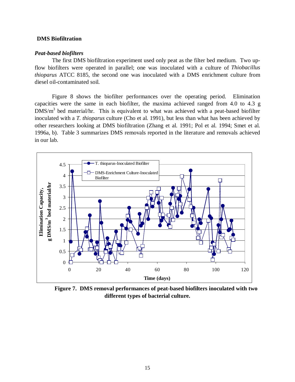#### **DMS Biofiltration**

#### *Peat-based biofilters*

The first DMS biofiltration experiment used only peat as the filter bed medium. Two upflow biofilters were operated in parallel; one was inoculated with a culture of *Thiobacillus thioparus* ATCC 8185, the second one was inoculated with a DMS enrichment culture from diesel oil-contaminated soil.

Figure 8 shows the biofilter performances over the operating period. Elimination capacities were the same in each biofilter, the maxima achieved ranged from 4.0 to 4.3 g  $DMS/m<sup>3</sup>$  bed material/hr. This is equivalent to what was achieved with a peat-based biofilter inoculated with a *T. thioparus* culture (Cho et al. 1991), but less than what has been achieved by other researchers looking at DMS biofiltration (Zhang et al. 1991; Pol et al. 1994; Smet et al. 1996a, b). Table 3 summarizes DMS removals reported in the literature and removals achieved in our lab.



**Figure 7. DMS removal performances of peat-based biofilters inoculated with two different types of bacterial culture.**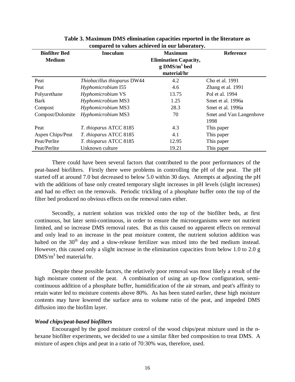| <b>Biofilter Bed</b> | <b>Inoculum</b>             | <b>Maximum</b>               | <b>Reference</b>        |  |  |  |  |  |
|----------------------|-----------------------------|------------------------------|-------------------------|--|--|--|--|--|
| <b>Medium</b>        |                             | <b>Elimination Capacity,</b> |                         |  |  |  |  |  |
|                      |                             | $g$ DMS/ $m3$ bed            |                         |  |  |  |  |  |
|                      |                             | material/hr                  |                         |  |  |  |  |  |
| Peat                 | Thiobacillus thioparus DW44 | 4.2                          | Cho et al. 1991         |  |  |  |  |  |
| Peat                 | Hyphomicrobium I55          | 4.6                          | Zhang et al. 1991       |  |  |  |  |  |
| Polyurethane         | Hyphomicrobium VS           | 13.75                        | Pol et al. 1994         |  |  |  |  |  |
| Bark                 | Hyphomicrobium MS3          | 1.25                         | Smet et al. 1996a       |  |  |  |  |  |
| Compost              | Hyphomicrobium MS3          | 28.3                         | Smet et al. 1996a       |  |  |  |  |  |
| Compost/Dolomite     | Hyphomicrobium MS3          | 70                           | Smet and Van Langenhove |  |  |  |  |  |
|                      |                             |                              | 1998                    |  |  |  |  |  |
| Peat                 | T. thioparus ATCC 8185      | 4.3                          | This paper              |  |  |  |  |  |
| Aspen Chips/Peat     | T. thioparus ATCC 8185      | 4.1                          | This paper              |  |  |  |  |  |
| Peat/Perlite         | T. thioparus ATCC 8185      | 12.95                        | This paper              |  |  |  |  |  |
| Peat/Perlite         | Unknown culture             | 19.21                        | This paper              |  |  |  |  |  |
|                      |                             |                              |                         |  |  |  |  |  |

**Table 3. Maximum DMS elimination capacities reported in the literature as compared to values achieved in our laboratory.**

There could have been several factors that contributed to the poor performances of the peat-based biofilters. Firstly there were problems in controlling the pH of the peat. The pH started off at around 7.0 but decreased to below 5.0 within 30 days. Attempts at adjusting the pH with the additions of base only created temporary slight increases in pH levels (slight increases) and had no effect on the removals. Periodic trickling of a phosphate buffer onto the top of the filter bed produced no obvious effects on the removal rates either.

Secondly, a nutrient solution was trickled onto the top of the biofilter beds, at first continuous, but later semi-continuous, in order to ensure the microorganisms were not nutrient limited, and so increase DMS removal rates. But as this caused no apparent effects on removal and only lead to an increase in the peat moisture content, the nutrient solution addition was halted on the  $30<sup>th</sup>$  day and a slow-release fertilizer was mixed into the bed medium instead. However, this caused only a slight increase in the elimination capacities from below 1.0 to 2.0 g  $DMS/m<sup>3</sup>$  bed material/hr.

Despite these possible factors, the relatively poor removal was most likely a result of the high moisture content of the peat. A combination of using an up-flow configuration, semicontinuous addition of a phosphate buffer, humidification of the air stream, and peat's affinity to retain water led to moisture contents above 80%. As has been stated earlier, these high moisture contents may have lowered the surface area to volume ratio of the peat, and impeded DMS diffusion into the biofilm layer.

#### *Wood chips/peat-based biofilters*

Encouraged by the good moisture control of the wood chips/peat mixture used in the nhexane biofilter experiments, we decided to use a similar filter bed composition to treat DMS. A mixture of aspen chips and peat in a ratio of 70:30% was, therefore, used.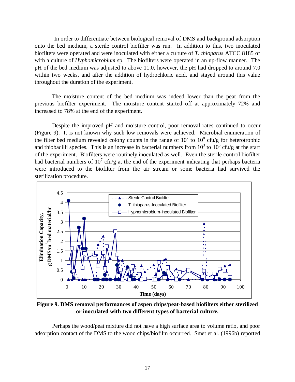In order to differentiate between biological removal of DMS and background adsorption onto the bed medium, a sterile control biofilter was run. In addition to this, two inoculated biofilters were operated and were inoculated with either a culture of *T. thioparus* ATCC 8185 or with a culture of *Hyphomicrobium* sp. The biofilters were operated in an up-flow manner. The pH of the bed medium was adjusted to above 11.0, however, the pH had dropped to around 7.0 within two weeks, and after the addition of hydrochloric acid, and stayed around this value throughout the duration of the experiment.

The moisture content of the bed medium was indeed lower than the peat from the previous biofilter experiment. The moisture content started off at approximately 72% and increased to 78% at the end of the experiment.

Despite the improved pH and moisture control, poor removal rates continued to occur (Figure 9). It is not known why such low removals were achieved. Microbial enumeration of the filter bed medium revealed colony counts in the range of  $10^7$  to  $10^8$  cfu/g for heterotrophic and thiobacilli species. This is an increase in bacterial numbers from  $10^3$  to  $10^5$  cfu/g at the start of the experiment. Biofilters were routinely inoculated as well. Even the sterile control biofilter had bacterial numbers of  $10^7$  cfu/g at the end of the experiment indicating that perhaps bacteria were introduced to the biofilter from the air stream or some bacteria had survived the sterilization procedure.



**Figure 9. DMS removal performances of aspen chips/peat-based biofilters either sterilized or inoculated with two different types of bacterial culture.**

Perhaps the wood/peat mixture did not have a high surface area to volume ratio, and poor adsorption contact of the DMS to the wood chips/biofilm occurred. Smet et al. (1996b) reported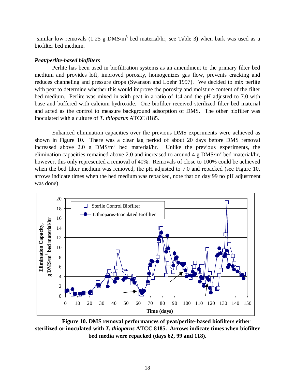similar low removals (1.25 g DMS/m<sup>3</sup> bed material/hr, see Table 3) when bark was used as a biofilter bed medium.

#### *Peat/perlite-based biofilters*

Perlite has been used in biofiltration systems as an amendment to the primary filter bed medium and provides loft, improved porosity, homogenizes gas flow, prevents cracking and reduces channeling and pressure drops (Swanson and Loehr 1997). We decided to mix perlite with peat to determine whether this would improve the porosity and moisture content of the filter bed medium. Perlite was mixed in with peat in a ratio of 1:4 and the pH adjusted to 7.0 with base and buffered with calcium hydroxide. One biofilter received sterilized filter bed material and acted as the control to measure background adsorption of DMS. The other biofilter was inoculated with a culture of *T. thioparus* ATCC 8185.

Enhanced elimination capacities over the previous DMS experiments were achieved as shown in Figure 10. There was a clear lag period of about 20 days before DMS removal increased above 2.0 g  $DMS/m<sup>3</sup>$  bed material/hr. Unlike the previous experiments, the elimination capacities remained above 2.0 and increased to around 4 g  $DMS/m<sup>3</sup>$  bed material/hr, however, this only represented a removal of 40%. Removals of close to 100% could be achieved when the bed filter medium was removed, the pH adjusted to 7.0 and repacked (see Figure 10, arrows indicate times when the bed medium was repacked, note that on day 99 no pH adjustment was done).



**Figure 10. DMS removal performances of peat/perlite-based biofilters either sterilized or inoculated with** *T. thioparus* **ATCC 8185. Arrows indicate times when biofilter bed media were repacked (days 62, 99 and 118).**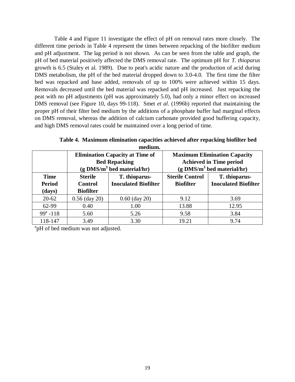Table 4 and Figure 11 investigate the effect of pH on removal rates more closely. The different time periods in Table 4 represent the times between repacking of the biofilter medium and pH adjustment. The lag period is not shown. As can be seen from the table and graph, the pH of bed material positively affected the DMS removal rate. The optimum pH for *T. thioparus* growth is 6.5 (Staley et al. 1989). Due to peat's acidic nature and the production of acid during DMS metabolism, the pH of the bed material dropped down to 3.0-4.0. The first time the filter bed was repacked and base added, removals of up to 100% were achieved within 15 days. Removals decreased until the bed material was repacked and pH increased. Just repacking the peat with no pH adjustments (pH was approximately 5.0), had only a minor effect on increased DMS removal (see Figure 10, days 99-118). Smet *et al*. (1996b) reported that maintaining the proper pH of their filter bed medium by the additions of a phosphate buffer had marginal effects on DMS removal, whereas the addition of calcium carbonate provided good buffering capacity, and high DMS removal rates could be maintained over a long period of time.

| medium.       |                                          |                                        |                                          |                                     |  |  |  |
|---------------|------------------------------------------|----------------------------------------|------------------------------------------|-------------------------------------|--|--|--|
|               |                                          | <b>Elimination Capacity at Time of</b> |                                          | <b>Maximum Elimination Capacity</b> |  |  |  |
|               | <b>Bed Repacking</b>                     |                                        | <b>Achieved in Time period</b>           |                                     |  |  |  |
|               | $(g$ DMS/m <sup>3</sup> bed material/hr) |                                        | $(g$ DMS/m <sup>3</sup> bed material/hr) |                                     |  |  |  |
| <b>Time</b>   | <b>Sterile</b>                           | T. thioparus-                          | <b>Sterile Control</b>                   | T. thioparus-                       |  |  |  |
| <b>Period</b> | <b>Control</b>                           | <b>Inoculated Biofilter</b>            | <b>Biofilter</b>                         | <b>Inoculated Biofilter</b>         |  |  |  |
| (days)        | <b>Biofilter</b>                         |                                        |                                          |                                     |  |  |  |
| $20 - 62$     | $0.56$ (day 20)                          | $0.60$ (day 20)                        | 9.12                                     | 3.69                                |  |  |  |
| 62-99         | 0.40                                     | 1.00                                   | 13.88                                    | 12.95                               |  |  |  |
| $99^a - 118$  | 5.60                                     | 5.26                                   | 9.58                                     | 3.84                                |  |  |  |
| 118-147       | 3.49                                     | 3.30                                   | 19.21                                    | 9.74                                |  |  |  |

**Table 4. Maximum elimination capacities achieved after repacking biofilter bed**

<sup>a</sup>pH of bed medium was not adjusted.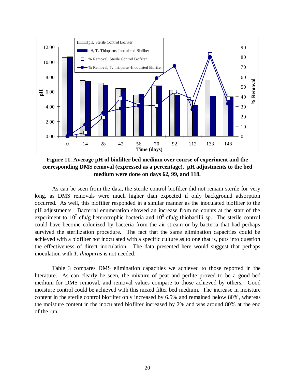

**Figure 11. Average pH of biofilter bed medium over course of experiment and the corresponding DMS removal (expressed as a percentage). pH adjustments to the bed medium were done on days 62, 99, and 118.**

As can be seen from the data, the sterile control biofilter did not remain sterile for very long, as DMS removals were much higher than expected if only background adsorption occurred. As well, this biofilter responded in a similar manner as the inoculated biofliter to the pH adjustments. Bacterial enumeration showed an increase from no counts at the start of the experiment to 10<sup>7</sup> cfu/g heterotrophic bacteria and  $10^5$  cfu/g thiobacilli sp. The sterile control could have become colonized by bacteria from the air stream or by bacteria that had perhaps survived the sterilization procedure. The fact that the same elimination capacities could be achieved with a biofilter not inoculated with a specific culture as to one that is, puts into question the effectiveness of direct inoculation. The data presented here would suggest that perhaps inoculation with *T. thioparus* is not needed.

Table 3 compares DMS elimination capacities we achieved to those reported in the literature. As can clearly be seen, the mixture of peat and perlite proved to be a good bed medium for DMS removal, and removal values compare to those achieved by others. Good moisture control could be achieved with this mixed filter bed medium. The increase in moisture content in the sterile control biofilter only increased by 6.5% and remained below 80%, whereas the moisture content in the inoculated biofilter increased by 2% and was around 80% at the end of the run.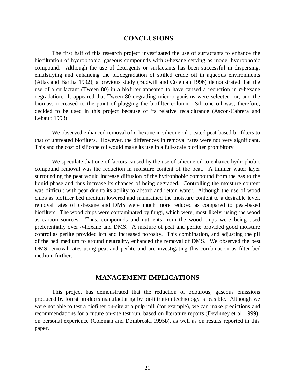# **CONCLUSIONS**

The first half of this research project investigated the use of surfactants to enhance the biofiltration of hydrophobic, gaseous compounds with *n*-hexane serving as model hydrophobic compound. Although the use of detergents or surfactants has been successful in dispersing, emulsifying and enhancing the biodegradation of spilled crude oil in aqueous environments (Atlas and Bartha 1992), a previous study (Budwill and Coleman 1996) demonstrated that the use of a surfactant (Tween 80) in a biofilter appeared to have caused a reduction in *n*-hexane degradation. It appeared that Tween 80-degrading microorganisms were selected for, and the biomass increased to the point of plugging the biofilter column. Silicone oil was, therefore, decided to be used in this project because of its relative recalcitrance (Ascon-Cabrera and Lebault 1993).

We observed enhanced removal of *n*-hexane in silicone oil-treated peat-based biofilters to that of untreated biofilters. However, the differences in removal rates were not very significant. This and the cost of silicone oil would make its use in a full-scale biofilter prohibitory.

We speculate that one of factors caused by the use of silicone oil to enhance hydrophobic compound removal was the reduction in moisture content of the peat. A thinner water layer surrounding the peat would increase diffusion of the hydrophobic compound from the gas to the liquid phase and thus increase its chances of being degraded. Controlling the moisture content was difficult with peat due to its ability to absorb and retain water. Although the use of wood chips as biofilter bed medium lowered and maintained the moisture content to a desirable level, removal rates of *n*-hexane and DMS were much more reduced as compared to peat-based biofilters. The wood chips were contaminated by fungi, which were, most likely, using the wood as carbon sources. Thus, compounds and nutrients from the wood chips were being used preferentially over *n*-hexane and DMS. A mixture of peat and perlite provided good moisture control as perlite provided loft and increased porosity. This combination, and adjusting the pH of the bed medium to around neutrality, enhanced the removal of DMS. We observed the best DMS removal rates using peat and perlite and are investigating this combination as filter bed medium further.

# **MANAGEMENT IMPLICATIONS**

This project has demonstrated that the reduction of odourous, gaseous emissions produced by forest products manufacturing by biofiltration technology is feasible. Although we were not able to test a biofilter on-site at a pulp mill (for example), we can make predictions and recommendations for a future on-site test run, based on literature reports (Devinney et al. 1999), on personal experience (Coleman and Dombroski 1995b), as well as on results reported in this paper.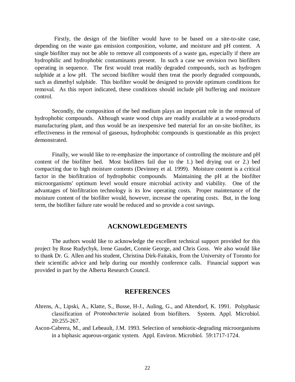Firstly, the design of the biofilter would have to be based on a site-to-site case, depending on the waste gas emission composition, volume, and moisture and pH content. A single biofilter may not be able to remove all components of a waste gas, especially if there are hydrophilic and hydrophobic contaminants present. In such a case we envision two biofilters operating in sequence. The first would treat readily degraded compounds, such as hydrogen sulphide at a low pH. The second biofilter would then treat the poorly degraded compounds, such as dimethyl sulphide. This biofilter would be designed to provide optimum conditions for removal. As this report indicated, these conditions should include pH buffering and moisture control.

Secondly, the composition of the bed medium plays an important role in the removal of hydrophobic compounds. Although waste wood chips are readily available at a wood-products manufacturing plant, and thus would be an inexpensive bed material for an on-site biofilter, its effectiveness in the removal of gaseous, hydrophobic compounds is questionable as this project demonstrated.

Finally, we would like to re-emphasize the importance of controlling the moisture and pH content of the biofilter bed. Most biofilters fail due to the 1.) bed drying out or 2.) bed compacting due to high moisture contents (Devinney et al. 1999). Moisture content is a critical factor in the biofiltration of hydrophobic compounds. Maintaining the pH at the biofilter microorganisms' optimum level would ensure microbial activity and viability. One of the advantages of biofiltration technology is its low operating costs. Proper maintenance of the moisture content of the biofilter would, however, increase the operating costs. But, in the long term, the biofilter failure rate would be reduced and so provide a cost savings.

# **ACKNOWLEDGEMENTS**

The authors would like to acknowledge the excellent technical support provided for this project by Rose Rudychyk, Irene Gaudet, Connie George, and Chris Goss. We also would like to thank Dr. G. Allen and his student, Christina Dirk-Faitakis, from the University of Toronto for their scientific advice and help during our monthly conference calls. Financial support was provided in part by the Alberta Research Council.

# **REFERENCES**

- Ahrens, A., Lipski, A., Klatte, S., Busse, H-J., Auling, G., and Altendorf, K. 1991. Polyphasic classification of *Proteobacteria* isolated from biofilters. System. Appl. Microbiol. 20:255-267.
- Ascon-Cabrera, M., and Lebeault, J.M. 1993. Selection of xenobiotic-degrading microorganisms in a biphasic aqueous-organic system. Appl. Environ. Microbiol. 59:1717-1724.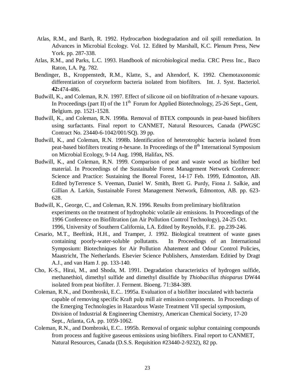- Atlas, R.M., and Barth, R. 1992. Hydrocarbon biodegradation and oil spill remediation. In Advances in Microbial Ecology. Vol. 12. Edited by Marshall, K.C. Plenum Press, New York. pp. 287-338.
- Atlas, R.M., and Parks, L.C. 1993. Handbook of microbiological media. CRC Press Inc., Baco Raton, LA. Pg. 782.
- Bendinger, B., Kroppenstedt, R.M., Klatte, S., and Altendorf, K. 1992. Chemotaxonomic differentiation of coryneform bacteria isolated from biofilters. Int. J. Syst. Bacteriol. **42:**474-486.
- Budwill, K., and Coleman, R.N. 1997. Effect of silicone oil on biofiltration of *n*-hexane vapours. In Proceedings (part II) of the  $11<sup>th</sup>$  Forum for Applied Biotechnology, 25-26 Sept., Gent, Belgium. pp. 1521-1528.
- Budwill, K., and Coleman, R.N. 1998a. Removal of BTEX compounds in peat-based biofilters using surfactants. Final report to CANMET, Natural Resources, Canada (PWGSC Contract No. 23440-6-1042/001/SQ). 39 pp.
- Budwill, K., and Coleman, R.N. 1998b. Identification of heterotrophic bacteria isolated from peat-based biofilters treating *n*-hexane. In Proceedings of the 8<sup>th</sup> International Symposium on Microbial Ecology, 9-14 Aug. 1998, Halifax, NS.
- Budwill, K., and Coleman, R.N. 1999. Comparison of peat and waste wood as biofilter bed material. In Proceedings of the Sustainable Forest Management Network Conference: Science and Practice: Sustaining the Boreal Forest, 14-17 Feb. 1999, Edmonton, AB. Edited byTerrence S. Veeman, Daniel W. Smith, Brett G. Purdy, Fiona J. Salkie, and Gillian A. Larkin, Sustainable Forest Management Network, Edmonton, AB. pp. 623- 628.
- Budwill, K., George, C., and Coleman, R.N. 1996. Results from preliminary biofiltration experiments on the treatment of hydrophobic volatile air emissions. In Proceedings of the 1996 Conference on Biofiltration (an Air Pollution Control Technology), 24-25 Oct. 1996, University of Southern California, LA. Edited by Reynolds, F.E. pp.239-246.
- Cesario, M.T., Beeftink, H.H., and Tramper, J. 1992. Biological treatment of waste gases containing poorly-water-soluble pollutants. In Proceedings of an International Symposium: Biotechniques for Air Pollution Abatement and Odour Control Policies, Maastricht, The Netherlands. Elsevier Science Publishers, Amsterdam. Editied by Dragt A.J., and van Ham J. pp. 133-140.
- Cho, K-S., Hirai, M., and Shoda, M. 1991. Degradation characteristics of hydrogen sulfide, methanethiol, dimethyl sulfide and dimethyl disulfide by *Thiobacillus thioparus* DW44 isolated from peat biofilter. J. Ferment. Bioeng. 71:384-389.
- Coleman, R.N., and Dombroski, E.C.. 1995a. Evaluation of a biofilter inoculated with bacteria capable of removing specific Kraft pulp mill air emission components. In Proceedings of the Emerging Technologies in Hazardous Waste Treatment VII special symposium, Division of Industrial & Engineering Chemistry, American Chemical Society, 17-20 Sept., Atlanta, GA. pp. 1059-1062.
- Coleman, R.N., and Dombroski, E.C.. 1995b. Removal of organic sulphur containing compounds from process and fugitive gaseous emissions using biofilters. Final report to CANMET, Natural Resources, Canada (D.S.S. Requisition #23440-2-9232), 82 pp.